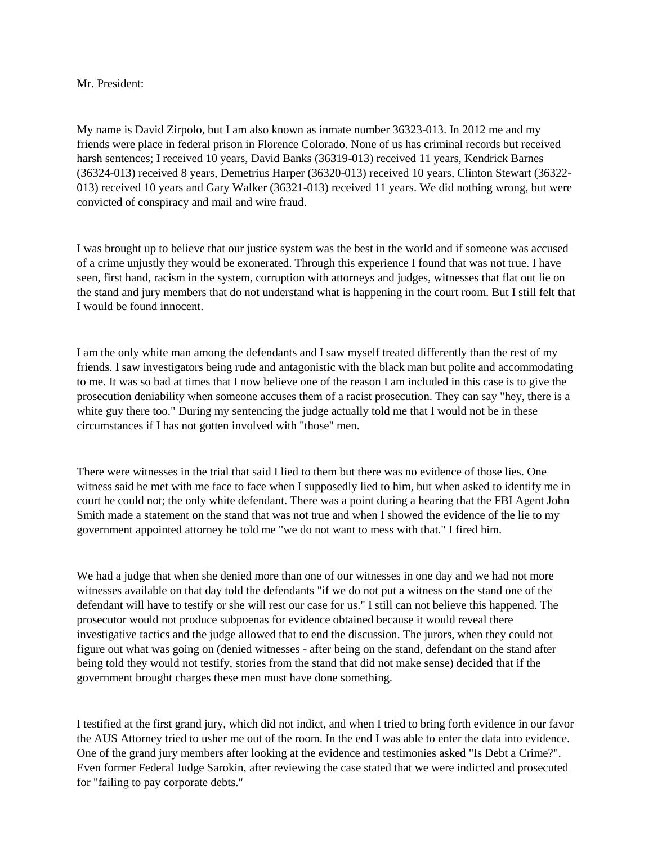## Mr. President:

My name is David Zirpolo, but I am also known as inmate number 36323-013. In 2012 me and my friends were place in federal prison in Florence Colorado. None of us has criminal records but received harsh sentences; I received 10 years, David Banks (36319-013) received 11 years, Kendrick Barnes (36324-013) received 8 years, Demetrius Harper (36320-013) received 10 years, Clinton Stewart (36322- 013) received 10 years and Gary Walker (36321-013) received 11 years. We did nothing wrong, but were convicted of conspiracy and mail and wire fraud.

I was brought up to believe that our justice system was the best in the world and if someone was accused of a crime unjustly they would be exonerated. Through this experience I found that was not true. I have seen, first hand, racism in the system, corruption with attorneys and judges, witnesses that flat out lie on the stand and jury members that do not understand what is happening in the court room. But I still felt that I would be found innocent.

I am the only white man among the defendants and I saw myself treated differently than the rest of my friends. I saw investigators being rude and antagonistic with the black man but polite and accommodating to me. It was so bad at times that I now believe one of the reason I am included in this case is to give the prosecution deniability when someone accuses them of a racist prosecution. They can say "hey, there is a white guy there too." During my sentencing the judge actually told me that I would not be in these circumstances if I has not gotten involved with "those" men.

There were witnesses in the trial that said I lied to them but there was no evidence of those lies. One witness said he met with me face to face when I supposedly lied to him, but when asked to identify me in court he could not; the only white defendant. There was a point during a hearing that the FBI Agent John Smith made a statement on the stand that was not true and when I showed the evidence of the lie to my government appointed attorney he told me "we do not want to mess with that." I fired him.

We had a judge that when she denied more than one of our witnesses in one day and we had not more witnesses available on that day told the defendants "if we do not put a witness on the stand one of the defendant will have to testify or she will rest our case for us." I still can not believe this happened. The prosecutor would not produce subpoenas for evidence obtained because it would reveal there investigative tactics and the judge allowed that to end the discussion. The jurors, when they could not figure out what was going on (denied witnesses - after being on the stand, defendant on the stand after being told they would not testify, stories from the stand that did not make sense) decided that if the government brought charges these men must have done something.

I testified at the first grand jury, which did not indict, and when I tried to bring forth evidence in our favor the AUS Attorney tried to usher me out of the room. In the end I was able to enter the data into evidence. One of the grand jury members after looking at the evidence and testimonies asked "Is Debt a Crime?". Even former Federal Judge Sarokin, after reviewing the case stated that we were indicted and prosecuted for "failing to pay corporate debts."